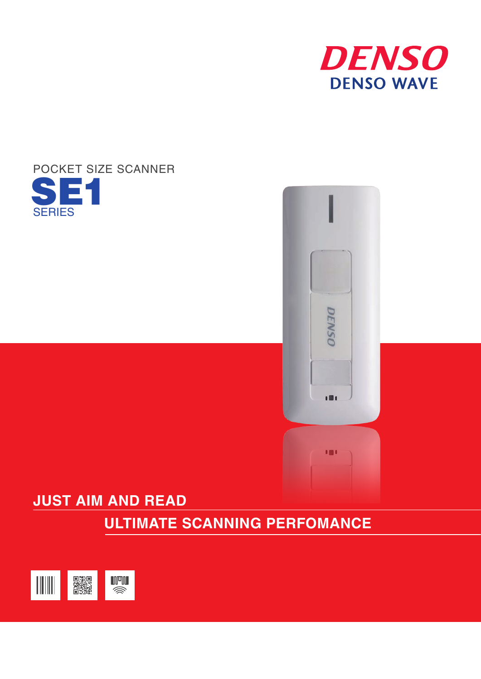





# **JUST AIM AND READ**

 **ULTIMATE SCANNING PERFOMANCE**

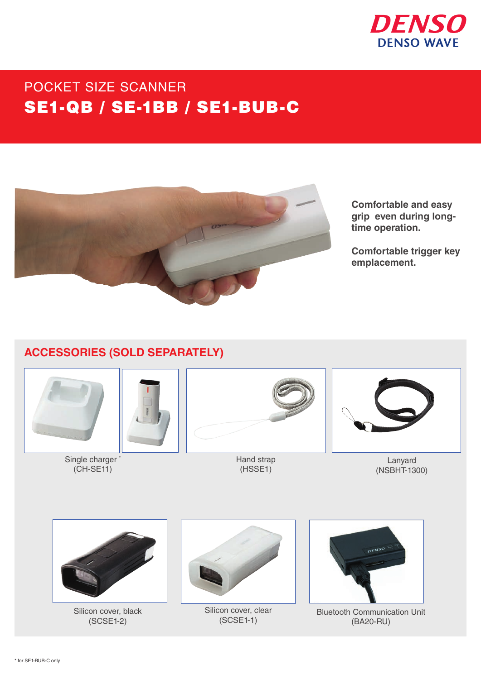

# POCKET SIZE SCANNER SE1-QB / SE-1BB / SE1-BUB-C



**Comfortable and easy grip even during longtime operation.** 

**Comfortable trigger key emplacement.**

# **ACCESSORIES (SOLD SEPARATELY)**



Single charger (CH-SE11)



Hand strap (HSSE1)



Lanyard (NSBHT-1300)



Silicon cover, black (SCSE1-2)



Silicon cover, clear (SCSE1-1)



Bluetooth Communication Unit (BA20-RU)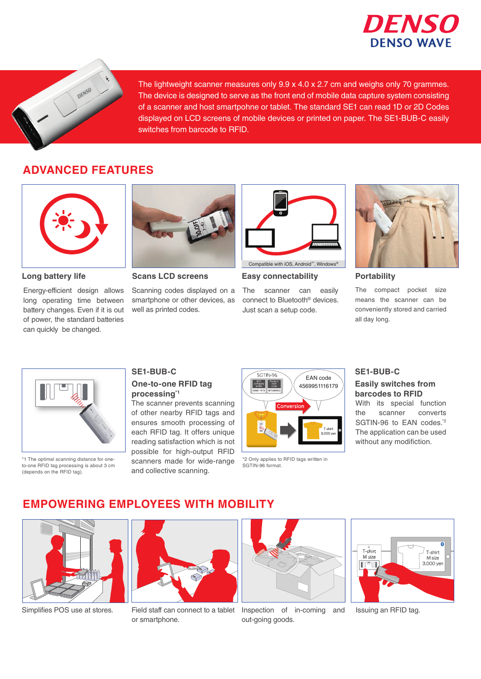



The lightweight scanner measures only 9.9 x 4.0 x 2.7 cm and weighs only 70 grammes. The device is designed to serve as the front end of mobile data capture system consisting of a scanner and host smartpohne or tablet. The standard SE1 can read 1D or 2D Codes displayed on LCD screens of mobile devices or printed on paper. The SE1-BUB-C easily switches from barcode to RFID.

# **ADVANCED FEATURES**



Energy-efficient design allows long operating time between battery changes. Even if it is out of power, the standard batteries can quickly be changed.



**Long battery life <b>Scans LCD screens Easy connectability Portability** 

Scanning codes displayed on a smartphone or other devices, as well as printed codes.



Compatible with iOS, Android™, Windows®

**Easy connectability**

The scanner can easily connect to Bluetooth® devices. Just scan a setup code.



The compact pocket size means the scanner can be conveniently stored and carried all day long.



\*1 The optimal scanning distance for oneto-one RFID tag processing is about 3 cm (depends on the RFID tag).

# **SE1-BUB-C**

### **One-to-one RFID tag processing\*1**

The scanner prevents scanning of other nearby RFID tags and ensures smooth processing of each RFID tag. It offers unique reading satisfaction which is not possible for high-output RFID scanners made for wide-range and collective scanning.



\*2 Only applies to RFID tags written in SGTIN-96 format.

#### **SE1-BUB-C**

#### With its special function **Easily switches from barcodes to RFID**

the scanner converts SGTIN-96 to EAN codes.<sup>\*2</sup> The application can be used without any modifiction.

## **EMPOWERING EMPLOYEES WITH MOBILITY**





or smartphone.



Simplifies POS use at stores. Field staff can connect to a tablet Inspection of in-coming and out-going goods.



Issuing an RFID tag.